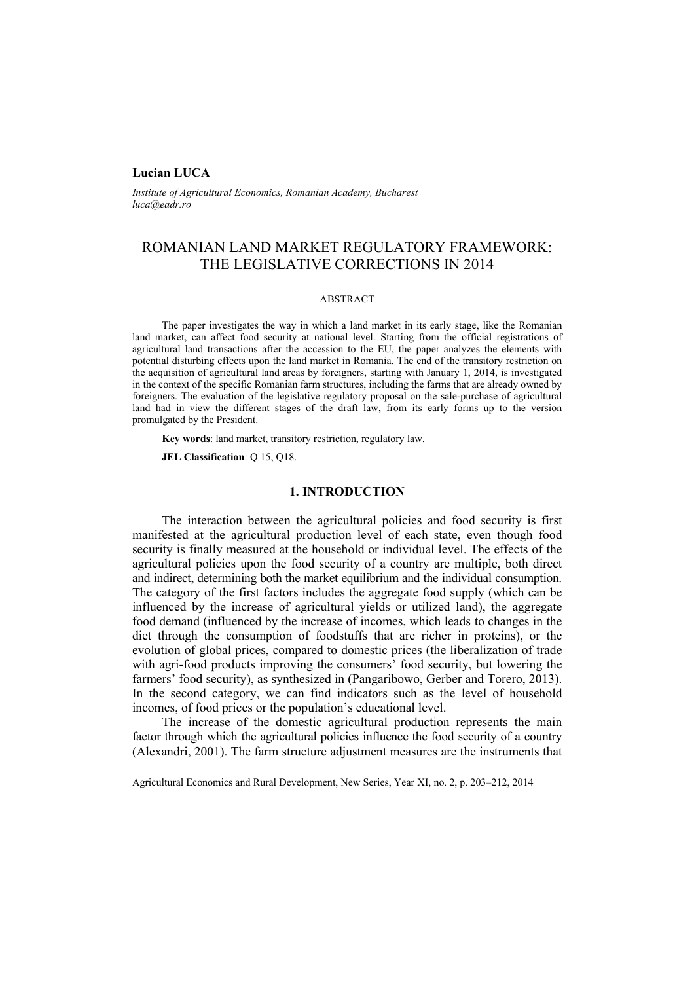### **Lucian LUCA**

*Institute of Agricultural Economics, Romanian Academy, Bucharest luca@eadr.ro*

# ROMANIAN LAND MARKET REGULATORY FRAMEWORK: THE LEGISLATIVE CORRECTIONS IN 2014

### ABSTRACT

The paper investigates the way in which a land market in its early stage, like the Romanian land market, can affect food security at national level. Starting from the official registrations of agricultural land transactions after the accession to the EU, the paper analyzes the elements with potential disturbing effects upon the land market in Romania. The end of the transitory restriction on the acquisition of agricultural land areas by foreigners, starting with January 1, 2014, is investigated in the context of the specific Romanian farm structures, including the farms that are already owned by foreigners. The evaluation of the legislative regulatory proposal on the sale-purchase of agricultural land had in view the different stages of the draft law, from its early forms up to the version promulgated by the President.

**Key words**: land market, transitory restriction, regulatory law.

**JEL Classification**: Q 15, Q18.

# **1. INTRODUCTION**

The interaction between the agricultural policies and food security is first manifested at the agricultural production level of each state, even though food security is finally measured at the household or individual level. The effects of the agricultural policies upon the food security of a country are multiple, both direct and indirect, determining both the market equilibrium and the individual consumption. The category of the first factors includes the aggregate food supply (which can be influenced by the increase of agricultural yields or utilized land), the aggregate food demand (influenced by the increase of incomes, which leads to changes in the diet through the consumption of foodstuffs that are richer in proteins), or the evolution of global prices, compared to domestic prices (the liberalization of trade with agri-food products improving the consumers' food security, but lowering the farmers' food security), as synthesized in (Pangaribowo, Gerber and Torero, 2013). In the second category, we can find indicators such as the level of household incomes, of food prices or the population's educational level.

The increase of the domestic agricultural production represents the main factor through which the agricultural policies influence the food security of a country (Alexandri, 2001). The farm structure adjustment measures are the instruments that

Agricultural Economics and Rural Development, New Series, Year XI, no. 2, p. 203–212, 2014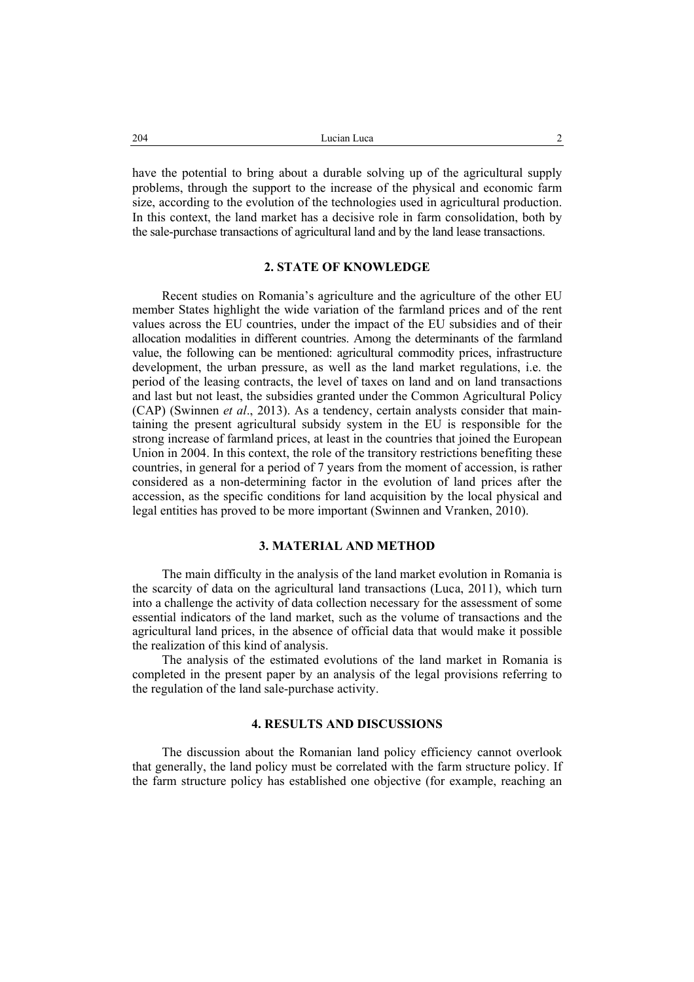have the potential to bring about a durable solving up of the agricultural supply problems, through the support to the increase of the physical and economic farm size, according to the evolution of the technologies used in agricultural production. In this context, the land market has a decisive role in farm consolidation, both by the sale-purchase transactions of agricultural land and by the land lease transactions.

### **2. STATE OF KNOWLEDGE**

Recent studies on Romania's agriculture and the agriculture of the other EU member States highlight the wide variation of the farmland prices and of the rent values across the EU countries, under the impact of the EU subsidies and of their allocation modalities in different countries. Among the determinants of the farmland value, the following can be mentioned: agricultural commodity prices, infrastructure development, the urban pressure, as well as the land market regulations, i.e. the period of the leasing contracts, the level of taxes on land and on land transactions and last but not least, the subsidies granted under the Common Agricultural Policy (CAP) (Swinnen *et al*., 2013). As a tendency, certain analysts consider that maintaining the present agricultural subsidy system in the EU is responsible for the strong increase of farmland prices, at least in the countries that joined the European Union in 2004. In this context, the role of the transitory restrictions benefiting these countries, in general for a period of 7 years from the moment of accession, is rather considered as a non-determining factor in the evolution of land prices after the accession, as the specific conditions for land acquisition by the local physical and legal entities has proved to be more important (Swinnen and Vranken, 2010).

### **3. MATERIAL AND METHOD**

The main difficulty in the analysis of the land market evolution in Romania is the scarcity of data on the agricultural land transactions (Luca, 2011), which turn into a challenge the activity of data collection necessary for the assessment of some essential indicators of the land market, such as the volume of transactions and the agricultural land prices, in the absence of official data that would make it possible the realization of this kind of analysis.

The analysis of the estimated evolutions of the land market in Romania is completed in the present paper by an analysis of the legal provisions referring to the regulation of the land sale-purchase activity.

# **4. RESULTS AND DISCUSSIONS**

The discussion about the Romanian land policy efficiency cannot overlook that generally, the land policy must be correlated with the farm structure policy. If the farm structure policy has established one objective (for example, reaching an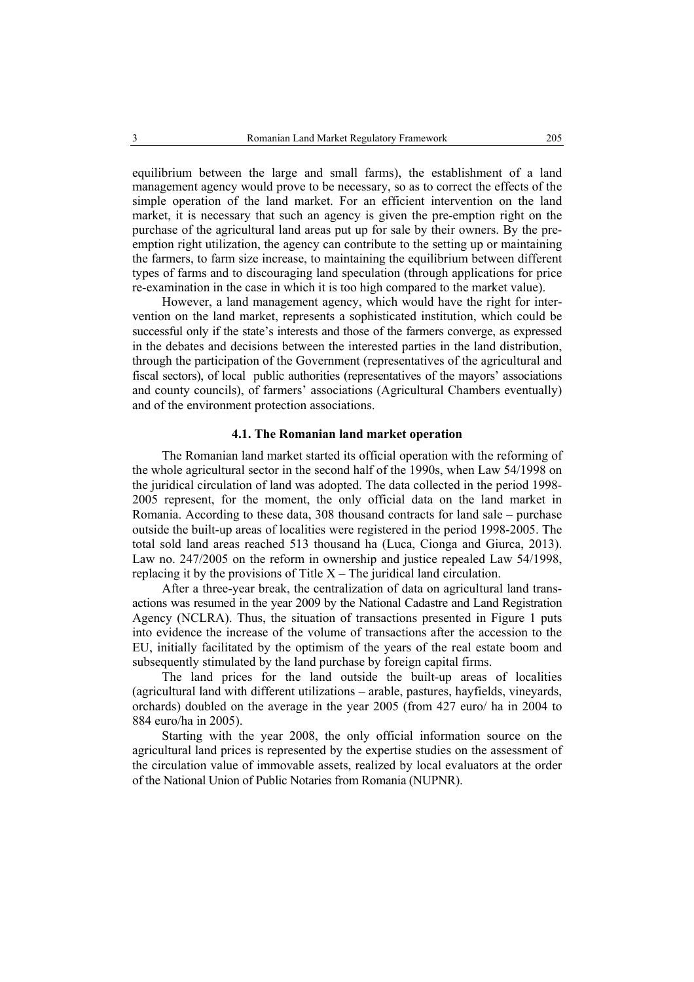equilibrium between the large and small farms), the establishment of a land management agency would prove to be necessary, so as to correct the effects of the simple operation of the land market. For an efficient intervention on the land market, it is necessary that such an agency is given the pre-emption right on the purchase of the agricultural land areas put up for sale by their owners. By the preemption right utilization, the agency can contribute to the setting up or maintaining the farmers, to farm size increase, to maintaining the equilibrium between different types of farms and to discouraging land speculation (through applications for price re-examination in the case in which it is too high compared to the market value).

However, a land management agency, which would have the right for intervention on the land market, represents a sophisticated institution, which could be successful only if the state's interests and those of the farmers converge, as expressed in the debates and decisions between the interested parties in the land distribution, through the participation of the Government (representatives of the agricultural and fiscal sectors), of local public authorities (representatives of the mayors' associations and county councils), of farmers' associations (Agricultural Chambers eventually) and of the environment protection associations.

### **4.1. The Romanian land market operation**

The Romanian land market started its official operation with the reforming of the whole agricultural sector in the second half of the 1990s, when Law 54/1998 on the juridical circulation of land was adopted. The data collected in the period 1998- 2005 represent, for the moment, the only official data on the land market in Romania. According to these data, 308 thousand contracts for land sale – purchase outside the built-up areas of localities were registered in the period 1998-2005. The total sold land areas reached 513 thousand ha (Luca, Cionga and Giurca, 2013). Law no. 247/2005 on the reform in ownership and justice repealed Law 54/1998, replacing it by the provisions of Title  $X -$ The juridical land circulation.

After a three-year break, the centralization of data on agricultural land transactions was resumed in the year 2009 by the National Cadastre and Land Registration Agency (NCLRA). Thus, the situation of transactions presented in Figure 1 puts into evidence the increase of the volume of transactions after the accession to the EU, initially facilitated by the optimism of the years of the real estate boom and subsequently stimulated by the land purchase by foreign capital firms.

The land prices for the land outside the built-up areas of localities (agricultural land with different utilizations – arable, pastures, hayfields, vineyards, orchards) doubled on the average in the year 2005 (from 427 euro/ ha in 2004 to 884 euro/ha in 2005).

Starting with the year 2008, the only official information source on the agricultural land prices is represented by the expertise studies on the assessment of the circulation value of immovable assets, realized by local evaluators at the order of the National Union of Public Notaries from Romania (NUPNR).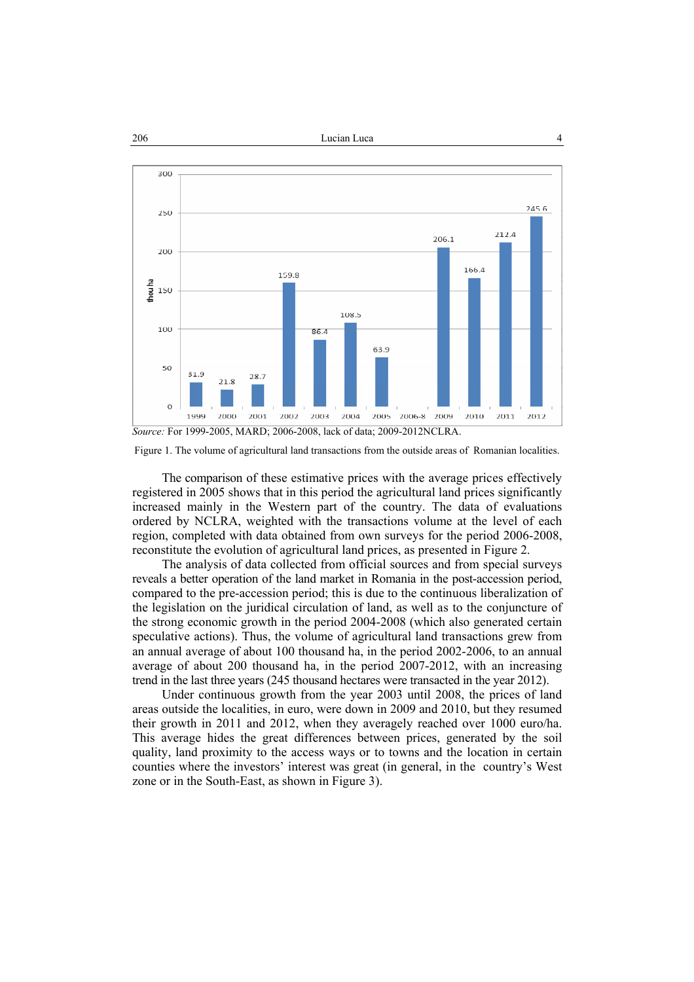#### 206 and Lucian Lucian Lucian Lucian Lucian 2006 and 4 2006 and 4 2006 and 4 2007 and 4 2007 and 4 2007 and 4 2007 and 4 2007 and 4 2007 and 4 2007 and 4 2007 and 4 2007 and 4 2007 and 4 2007 and 4 2007 and 4 2007 and 4 200



Figure 1. The volume of agricultural land transactions from the outside areas of Romanian localities.

The comparison of these estimative prices with the average prices effectively registered in 2005 shows that in this period the agricultural land prices significantly increased mainly in the Western part of the country. The data of evaluations ordered by NCLRA, weighted with the transactions volume at the level of each region, completed with data obtained from own surveys for the period 2006-2008, reconstitute the evolution of agricultural land prices, as presented in Figure 2.

The analysis of data collected from official sources and from special surveys reveals a better operation of the land market in Romania in the post-accession period, compared to the pre-accession period; this is due to the continuous liberalization of the legislation on the juridical circulation of land, as well as to the conjuncture of the strong economic growth in the period 2004-2008 (which also generated certain speculative actions). Thus, the volume of agricultural land transactions grew from an annual average of about 100 thousand ha, in the period 2002-2006, to an annual average of about 200 thousand ha, in the period 2007-2012, with an increasing trend in the last three years (245 thousand hectares were transacted in the year 2012).

Under continuous growth from the year 2003 until 2008, the prices of land areas outside the localities, in euro, were down in 2009 and 2010, but they resumed their growth in 2011 and 2012, when they averagely reached over 1000 euro/ha. This average hides the great differences between prices, generated by the soil quality, land proximity to the access ways or to towns and the location in certain counties where the investors' interest was great (in general, in the country's West zone or in the South-East, as shown in Figure 3).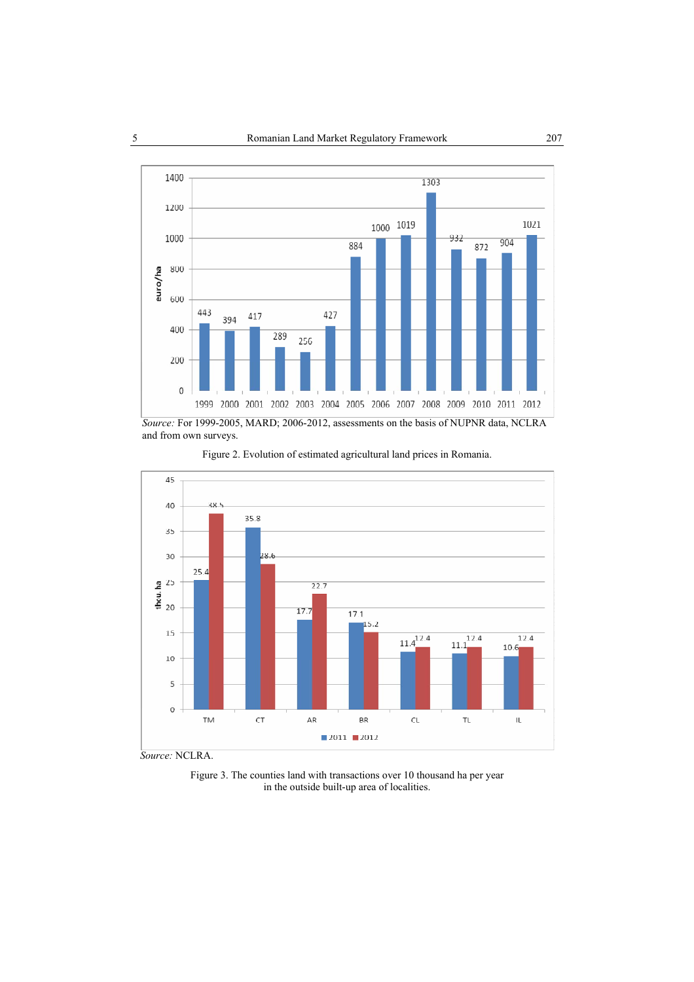

*Source:* For 1999-2005, MARD; 2006-2012, assessments on the basis of NUPNR data, NCLRA and from own surveys.



Figure 2. Evolution of estimated agricultural land prices in Romania.

 *Source:* NCLRA.

Figure 3. The counties land with transactions over 10 thousand ha per year in the outside built-up area of localities.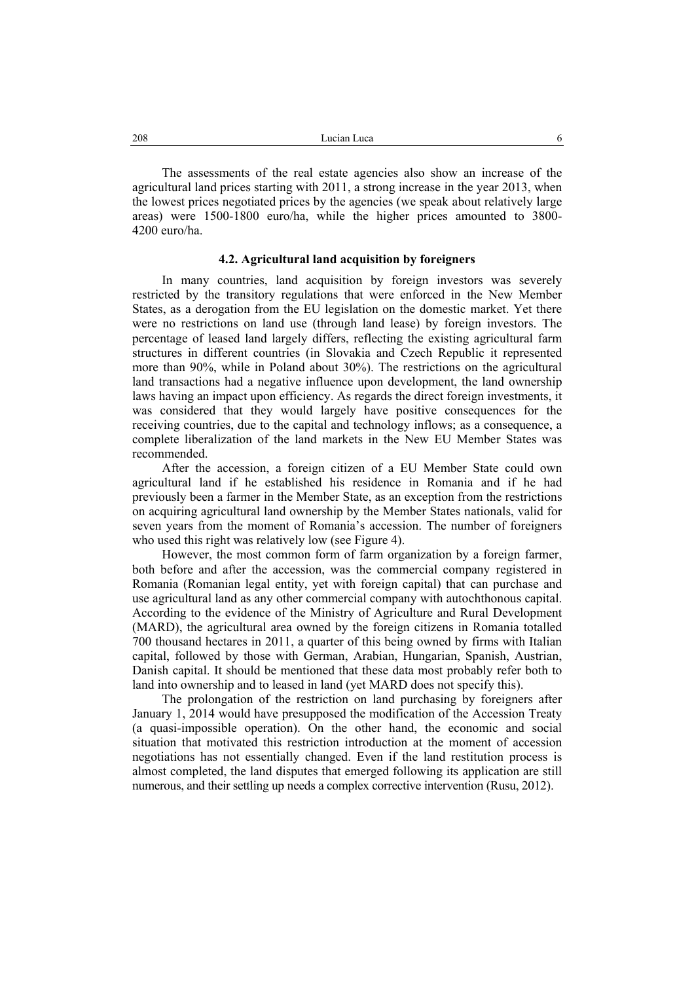The assessments of the real estate agencies also show an increase of the agricultural land prices starting with 2011, a strong increase in the year 2013, when the lowest prices negotiated prices by the agencies (we speak about relatively large areas) were 1500-1800 euro/ha, while the higher prices amounted to 3800- 4200 euro/ha.

#### **4.2. Agricultural land acquisition by foreigners**

In many countries, land acquisition by foreign investors was severely restricted by the transitory regulations that were enforced in the New Member States, as a derogation from the EU legislation on the domestic market. Yet there were no restrictions on land use (through land lease) by foreign investors. The percentage of leased land largely differs, reflecting the existing agricultural farm structures in different countries (in Slovakia and Czech Republic it represented more than 90%, while in Poland about 30%). The restrictions on the agricultural land transactions had a negative influence upon development, the land ownership laws having an impact upon efficiency. As regards the direct foreign investments, it was considered that they would largely have positive consequences for the receiving countries, due to the capital and technology inflows; as a consequence, a complete liberalization of the land markets in the New EU Member States was recommended.

After the accession, a foreign citizen of a EU Member State could own agricultural land if he established his residence in Romania and if he had previously been a farmer in the Member State, as an exception from the restrictions on acquiring agricultural land ownership by the Member States nationals, valid for seven years from the moment of Romania's accession. The number of foreigners who used this right was relatively low (see Figure 4).

However, the most common form of farm organization by a foreign farmer, both before and after the accession, was the commercial company registered in Romania (Romanian legal entity, yet with foreign capital) that can purchase and use agricultural land as any other commercial company with autochthonous capital. According to the evidence of the Ministry of Agriculture and Rural Development (MARD), the agricultural area owned by the foreign citizens in Romania totalled 700 thousand hectares in 2011, a quarter of this being owned by firms with Italian capital, followed by those with German, Arabian, Hungarian, Spanish, Austrian, Danish capital. It should be mentioned that these data most probably refer both to land into ownership and to leased in land (yet MARD does not specify this).

The prolongation of the restriction on land purchasing by foreigners after January 1, 2014 would have presupposed the modification of the Accession Treaty (a quasi-impossible operation). On the other hand, the economic and social situation that motivated this restriction introduction at the moment of accession negotiations has not essentially changed. Even if the land restitution process is almost completed, the land disputes that emerged following its application are still numerous, and their settling up needs a complex corrective intervention (Rusu, 2012).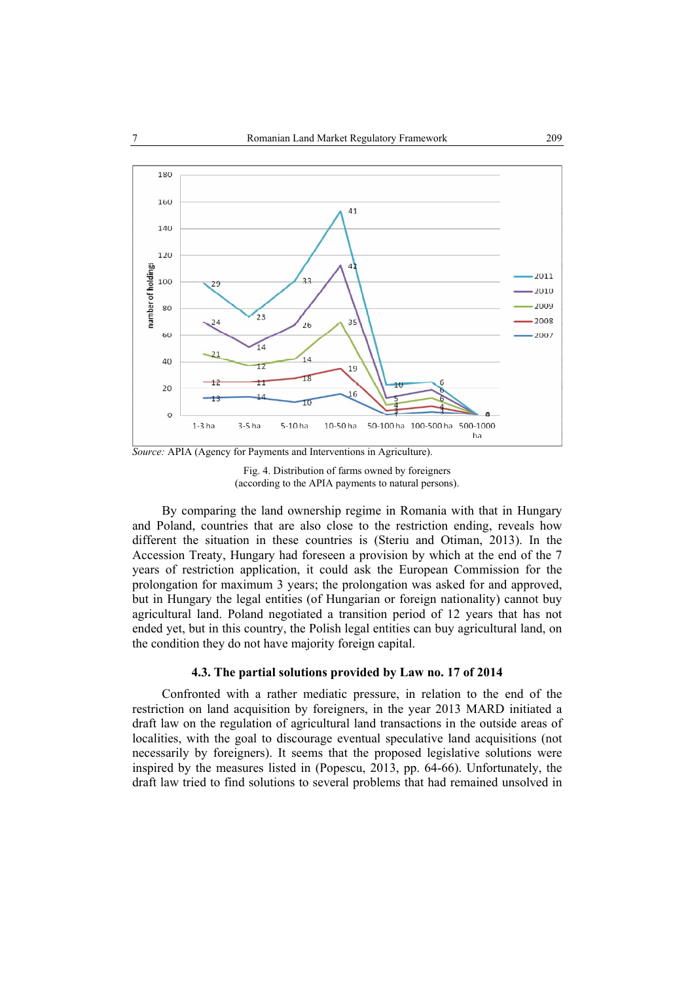

*Source:* APIA (Agency for Payments and Interventions in Agriculture).



By comparing the land ownership regime in Romania with that in Hungary and Poland, countries that are also close to the restriction ending, reveals how different the situation in these countries is (Steriu and Otiman, 2013). In the Accession Treaty, Hungary had foreseen a provision by which at the end of the 7 years of restriction application, it could ask the European Commission for the prolongation for maximum 3 years; the prolongation was asked for and approved, but in Hungary the legal entities (of Hungarian or foreign nationality) cannot buy agricultural land. Poland negotiated a transition period of 12 years that has not ended yet, but in this country, the Polish legal entities can buy agricultural land, on the condition they do not have majority foreign capital.

## **4.3. The partial solutions provided by Law no. 17 of 2014**

Confronted with a rather mediatic pressure, in relation to the end of the restriction on land acquisition by foreigners, in the year 2013 MARD initiated a draft law on the regulation of agricultural land transactions in the outside areas of localities, with the goal to discourage eventual speculative land acquisitions (not necessarily by foreigners). It seems that the proposed legislative solutions were inspired by the measures listed in (Popescu, 2013, pp. 64-66). Unfortunately, the draft law tried to find solutions to several problems that had remained unsolved in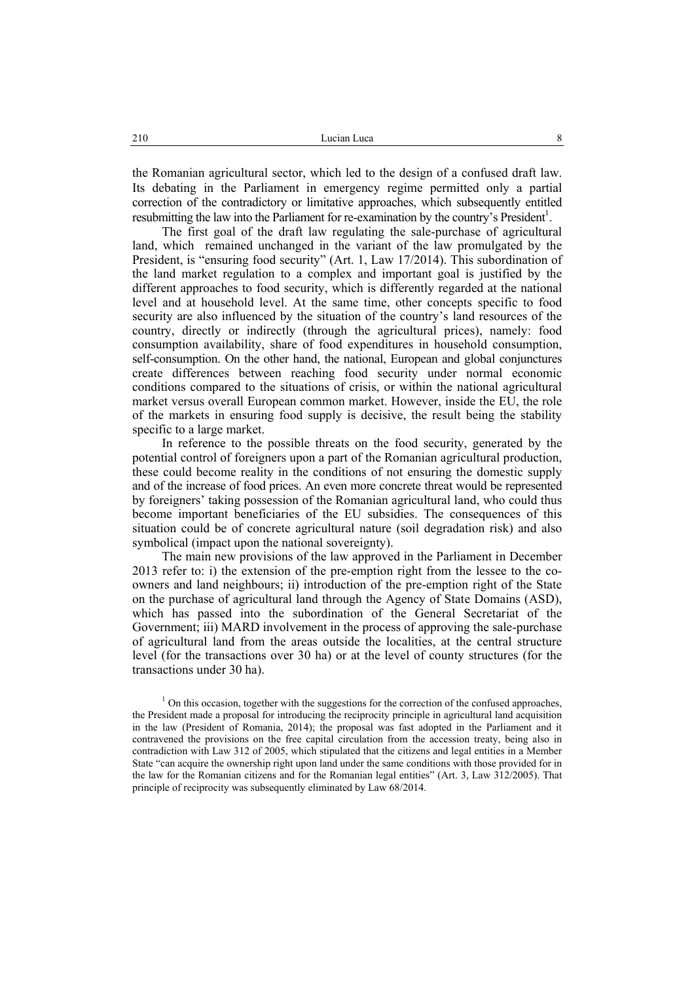the Romanian agricultural sector, which led to the design of a confused draft law. Its debating in the Parliament in emergency regime permitted only a partial correction of the contradictory or limitative approaches, which subsequently entitled resubmitting the law into the Parliament for re-examination by the country's President<sup>1</sup>.

The first goal of the draft law regulating the sale-purchase of agricultural land, which remained unchanged in the variant of the law promulgated by the President, is "ensuring food security" (Art. 1, Law 17/2014). This subordination of the land market regulation to a complex and important goal is justified by the different approaches to food security, which is differently regarded at the national level and at household level. At the same time, other concepts specific to food security are also influenced by the situation of the country's land resources of the country, directly or indirectly (through the agricultural prices), namely: food consumption availability, share of food expenditures in household consumption, self-consumption. On the other hand, the national, European and global conjunctures create differences between reaching food security under normal economic conditions compared to the situations of crisis, or within the national agricultural market versus overall European common market. However, inside the EU, the role of the markets in ensuring food supply is decisive, the result being the stability specific to a large market.

In reference to the possible threats on the food security, generated by the potential control of foreigners upon a part of the Romanian agricultural production, these could become reality in the conditions of not ensuring the domestic supply and of the increase of food prices. An even more concrete threat would be represented by foreigners' taking possession of the Romanian agricultural land, who could thus become important beneficiaries of the EU subsidies. The consequences of this situation could be of concrete agricultural nature (soil degradation risk) and also symbolical (impact upon the national sovereignty).

The main new provisions of the law approved in the Parliament in December 2013 refer to: i) the extension of the pre-emption right from the lessee to the coowners and land neighbours; ii) introduction of the pre-emption right of the State on the purchase of agricultural land through the Agency of State Domains (ASD), which has passed into the subordination of the General Secretariat of the Government; iii) MARD involvement in the process of approving the sale-purchase of agricultural land from the areas outside the localities, at the central structure level (for the transactions over 30 ha) or at the level of county structures (for the transactions under 30 ha).

 $1$  On this occasion, together with the suggestions for the correction of the confused approaches, the President made a proposal for introducing the reciprocity principle in agricultural land acquisition in the law (President of Romania, 2014); the proposal was fast adopted in the Parliament and it contravened the provisions on the free capital circulation from the accession treaty, being also in contradiction with Law 312 of 2005, which stipulated that the citizens and legal entities in a Member State "can acquire the ownership right upon land under the same conditions with those provided for in the law for the Romanian citizens and for the Romanian legal entities" (Art. 3, Law 312/2005). That principle of reciprocity was subsequently eliminated by Law 68/2014.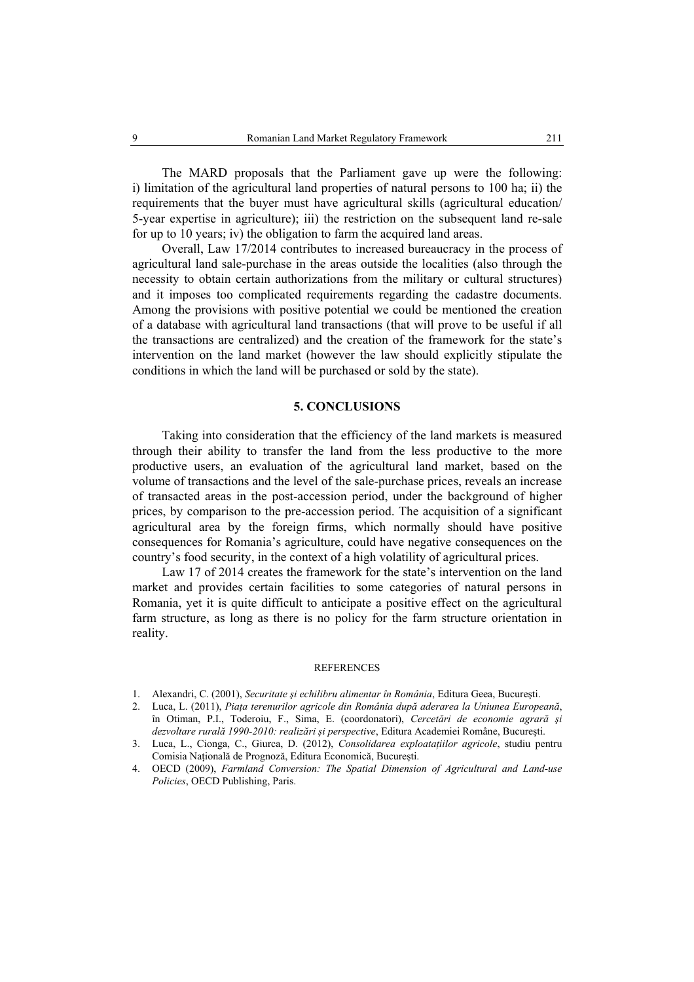The MARD proposals that the Parliament gave up were the following: i) limitation of the agricultural land properties of natural persons to 100 ha; ii) the requirements that the buyer must have agricultural skills (agricultural education/ 5-year expertise in agriculture); iii) the restriction on the subsequent land re-sale for up to 10 years; iv) the obligation to farm the acquired land areas.

Overall, Law 17/2014 contributes to increased bureaucracy in the process of agricultural land sale-purchase in the areas outside the localities (also through the necessity to obtain certain authorizations from the military or cultural structures) and it imposes too complicated requirements regarding the cadastre documents. Among the provisions with positive potential we could be mentioned the creation of a database with agricultural land transactions (that will prove to be useful if all the transactions are centralized) and the creation of the framework for the state's intervention on the land market (however the law should explicitly stipulate the conditions in which the land will be purchased or sold by the state).

### **5. CONCLUSIONS**

Taking into consideration that the efficiency of the land markets is measured through their ability to transfer the land from the less productive to the more productive users, an evaluation of the agricultural land market, based on the volume of transactions and the level of the sale-purchase prices, reveals an increase of transacted areas in the post-accession period, under the background of higher prices, by comparison to the pre-accession period. The acquisition of a significant agricultural area by the foreign firms, which normally should have positive consequences for Romania's agriculture, could have negative consequences on the country's food security, in the context of a high volatility of agricultural prices.

Law 17 of 2014 creates the framework for the state's intervention on the land market and provides certain facilities to some categories of natural persons in Romania, yet it is quite difficult to anticipate a positive effect on the agricultural farm structure, as long as there is no policy for the farm structure orientation in reality.

#### **REFERENCES**

<sup>1.</sup> Alexandri, C. (2001), *Securitate şi echilibru alimentar în România*, Editura Geea, Bucureşti.

<sup>2.</sup> Luca, L. (2011), *Piaţa terenurilor agricole din România după aderarea la Uniunea Europeană*, în Otiman, P.I., Toderoiu, F., Sima, E. (coordonatori), *Cercetări de economie agrară şi dezvoltare rurală 1990-2010: realizări şi perspective*, Editura Academiei Române, Bucureşti.

<sup>3.</sup> Luca, L., Cionga, C., Giurca, D. (2012), *Consolidarea exploataţiilor agricole*, studiu pentru Comisia Naţională de Prognoză, Editura Economică, Bucureşti.

<sup>4.</sup> OECD (2009), *Farmland Conversion: The Spatial Dimension of Agricultural and Land-use Policies*, OECD Publishing, Paris.